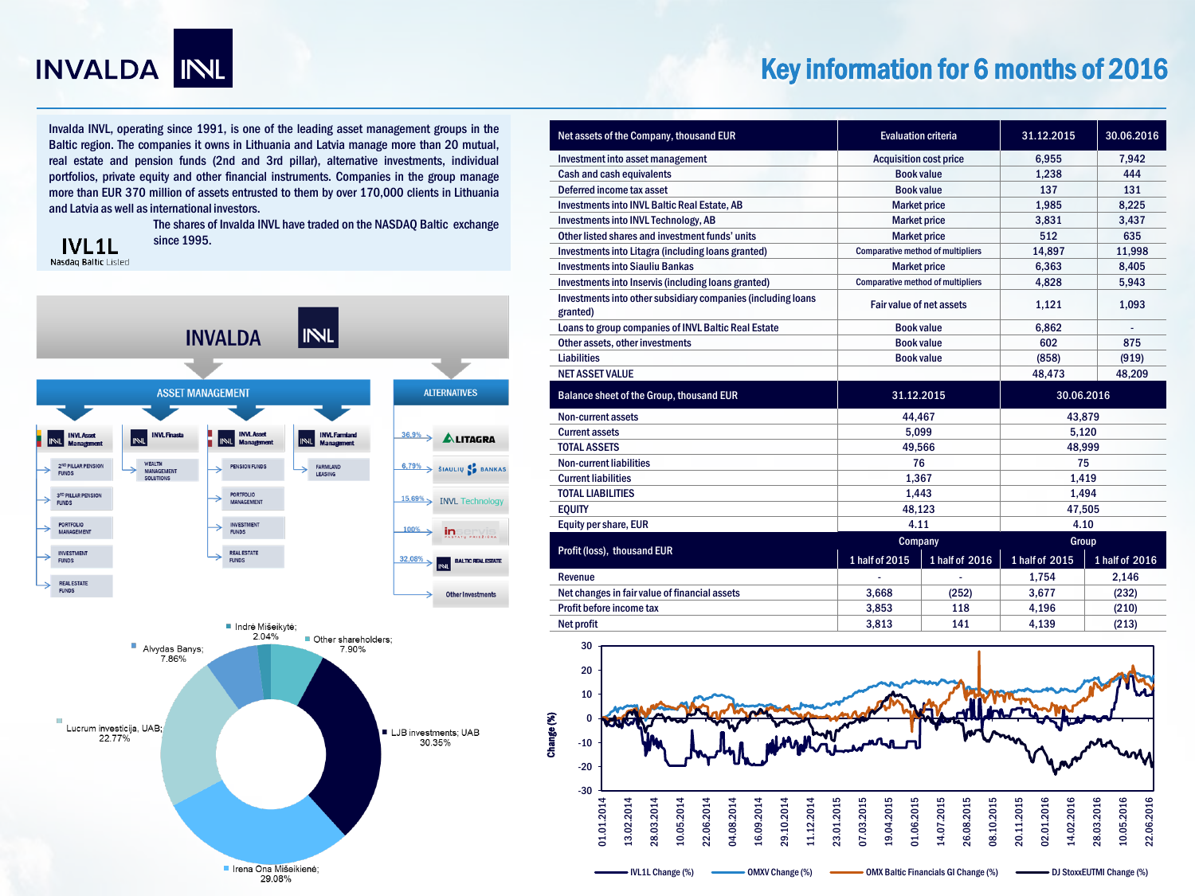

# Key information for 6 months of 2016

Invalda INVL, operating since 1991, is one of the leading asset management groups in the Baltic region. The companies it owns in Lithuania and Latvia manage more than 20 mutual, real estate and pension funds (2nd and 3rd pillar), alternative investments, individual portfolios, private equity and other financial instruments. Companies in the group manage more than EUR 370 million of assets entrusted to them by over 170,000 clients in Lithuania and Latvia as well as international investors.

> The shares of Invalda INVL have traded on the NASDAQ Baltic exchange since 1995.

**IVL1L** Nasdaq Baltic Listed



| Net assets of the Company, thousand EUR                                  | <b>Evaluation criteria</b>               |                                          | 31.12.2015     | 30.06.2016     |
|--------------------------------------------------------------------------|------------------------------------------|------------------------------------------|----------------|----------------|
| Investment into asset management                                         | <b>Acquisition cost price</b>            |                                          | 6.955          | 7.942          |
| <b>Cash and cash equivalents</b>                                         | <b>Book value</b>                        |                                          | 1.238          | 444            |
| Deferred income tax asset                                                | <b>Book value</b>                        |                                          | 137            | 131            |
| <b>Investments into INVL Baltic Real Estate, AB</b>                      | <b>Market price</b>                      |                                          | 1.985          | 8.225          |
| <b>Investments into INVL Technology, AB</b>                              | <b>Market price</b>                      |                                          | 3.831          | 3,437          |
| Other listed shares and investment funds' units                          | <b>Market price</b>                      |                                          | 512            | 635            |
| Investments into Litagra (including loans granted)                       | <b>Comparative method of multipliers</b> |                                          | 14,897         | 11,998         |
| <b>Investments into Siauliu Bankas</b>                                   | <b>Market price</b>                      |                                          | 6.363          | 8.405          |
| Investments into Inservis (including loans granted)                      |                                          | <b>Comparative method of multipliers</b> |                | 5,943          |
| Investments into other subsidiary companies (including loans<br>granted) | Fair value of net assets                 |                                          | 1,121          | 1,093          |
| Loans to group companies of INVL Baltic Real Estate                      | <b>Book value</b>                        |                                          | 6.862          |                |
| Other assets, other investments                                          | <b>Book value</b>                        |                                          | 602            | 875            |
| <b>Liabilities</b>                                                       | <b>Book value</b>                        |                                          | (858)          | (919)          |
| <b>NET ASSET VALUE</b>                                                   |                                          |                                          | 48.473         | 48.209         |
| Balance sheet of the Group, thousand EUR                                 | 31.12.2015                               |                                          | 30.06.2016     |                |
| Non-current assets                                                       | 44.467                                   |                                          | 43.879         |                |
| <b>Current assets</b>                                                    | 5.099                                    |                                          | 5.120          |                |
| <b>TOTAL ASSETS</b>                                                      | 49,566                                   |                                          | 48,999         |                |
| <b>Non-current liabilities</b>                                           | 76                                       |                                          | 75             |                |
| <b>Current liabilities</b>                                               | 1.367                                    |                                          | 1.419          |                |
| <b>TOTAL LIABILITIES</b>                                                 | 1,443                                    |                                          | 1.494          |                |
| <b>EQUITY</b>                                                            | 48,123                                   |                                          | 47,505         |                |
| Equity per share, EUR                                                    | 4.11                                     |                                          | 4.10           |                |
| Profit (loss), thousand EUR                                              | Company                                  |                                          | Group          |                |
|                                                                          | 1 half of 2015                           | 1 half of 2016                           | 1 half of 2015 | 1 half of 2016 |
| Revenue                                                                  |                                          |                                          | 1.754          | 2.146          |
| Net changes in fair value of financial assets                            | 3.668                                    | (252)                                    | 3,677          | (232)          |
| Profit before income tax                                                 | 3,853                                    | 118                                      | 4,196          | (210)          |
| <b>Net profit</b>                                                        | 3.813                                    | 141                                      | 4.139          | (213)          |